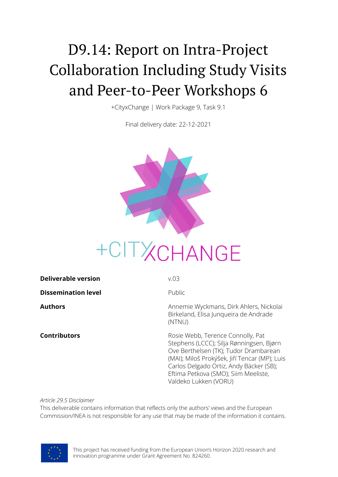# D9.14: Report on Intra-Project Collaboration Including Study Visits and Peer-to-Peer Workshops 6

+CityxChange | Work Package 9, Task 9.1

Final delivery date: 22-12-2021



| <b>Deliverable version</b> | V.03                                                                                                                                                                                                                                                                                |
|----------------------------|-------------------------------------------------------------------------------------------------------------------------------------------------------------------------------------------------------------------------------------------------------------------------------------|
| <b>Dissemination level</b> | Public                                                                                                                                                                                                                                                                              |
| <b>Authors</b>             | Annemie Wyckmans, Dirk Ahlers, Nickolai<br>Birkeland, Elisa Junqueira de Andrade<br>(NTNU)                                                                                                                                                                                          |
| <b>Contributors</b>        | Rosie Webb, Terence Connolly, Pat<br>Stephens (LCCC); Silja Rønningsen, Bjørn<br>Ove Berthelsen (TK); Tudor Drambarean<br>(MAI); Miloš Prokýšek, Jiří Tencar (MP); Luis<br>Carlos Delgado Ortiz, Andy Bäcker (SB);<br>Eftima Petkova (SMO); Siim Meeliste,<br>Valdeko Lukken (VORU) |

*Article 29.5 Disclaimer*

This deliverable contains information that reflects only the authors' views and the European Commission/INEA is not responsible for any use that may be made of the information it contains.

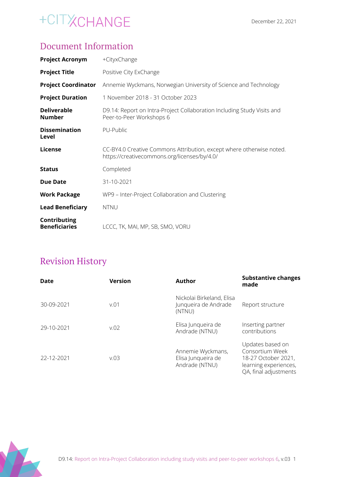### Document Information

| <b>Project Acronym</b>               | +CityxChange                                                                                                         |
|--------------------------------------|----------------------------------------------------------------------------------------------------------------------|
| <b>Project Title</b>                 | Positive City ExChange                                                                                               |
| <b>Project Coordinator</b>           | Annemie Wyckmans, Norwegian University of Science and Technology                                                     |
| <b>Project Duration</b>              | 1 November 2018 - 31 October 2023                                                                                    |
| <b>Deliverable</b><br><b>Number</b>  | D9.14: Report on Intra-Project Collaboration Including Study Visits and<br>Peer-to-Peer Workshops 6                  |
| <b>Dissemination</b><br>Level        | PU-Public                                                                                                            |
| <b>License</b>                       | CC-BY4.0 Creative Commons Attribution, except where otherwise noted.<br>https://creativecommons.org/licenses/by/4.0/ |
| <b>Status</b>                        | Completed                                                                                                            |
| <b>Due Date</b>                      | 31-10-2021                                                                                                           |
| <b>Work Package</b>                  | WP9 - Inter-Project Collaboration and Clustering                                                                     |
| <b>Lead Beneficiary</b>              | <b>NTNU</b>                                                                                                          |
| Contributing<br><b>Beneficiaries</b> | LCCC, TK, MAI, MP, SB, SMO, VORU                                                                                     |

### Revision History

| Date       | <b>Version</b> | Author                                                      | <b>Substantive changes</b><br>made                                                                           |
|------------|----------------|-------------------------------------------------------------|--------------------------------------------------------------------------------------------------------------|
| 30-09-2021 | v.01           | Nickolai Birkeland, Elisa<br>Junqueira de Andrade<br>(NTNU) | Report structure                                                                                             |
| 29-10-2021 | v.02           | Elisa Junqueira de<br>Andrade (NTNU)                        | Inserting partner<br>contributions                                                                           |
| 22-12-2021 | v.03           | Annemie Wyckmans,<br>Elisa Junqueira de<br>Andrade (NTNU)   | Updates based on<br>Consortium Week<br>18-27 October 2021,<br>learning experiences,<br>QA, final adjustments |

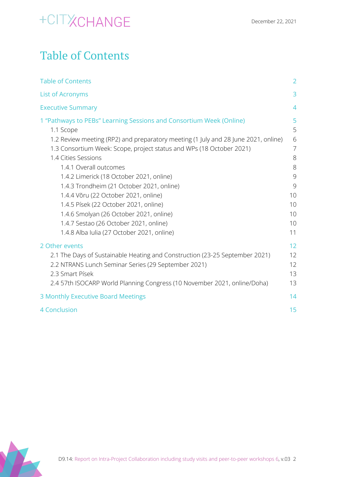## <span id="page-2-0"></span>Table of Contents

| <b>Table of Contents</b>                                                                                                                                                                                                                                                                                                                                                                                                                                                                                                                                                                                     | $\overline{2}$                                                                  |
|--------------------------------------------------------------------------------------------------------------------------------------------------------------------------------------------------------------------------------------------------------------------------------------------------------------------------------------------------------------------------------------------------------------------------------------------------------------------------------------------------------------------------------------------------------------------------------------------------------------|---------------------------------------------------------------------------------|
| <b>List of Acronyms</b>                                                                                                                                                                                                                                                                                                                                                                                                                                                                                                                                                                                      | 3                                                                               |
| <b>Executive Summary</b>                                                                                                                                                                                                                                                                                                                                                                                                                                                                                                                                                                                     | $\overline{4}$                                                                  |
| 1 "Pathways to PEBs" Learning Sessions and Consortium Week (Online)<br>1.1 Scope<br>1.2 Review meeting (RP2) and preparatory meeting (1 July and 28 June 2021, online)<br>1.3 Consortium Week: Scope, project status and WPs (18 October 2021)<br>1.4 Cities Sessions<br>1.4.1 Overall outcomes<br>1.4.2 Limerick (18 October 2021, online)<br>1.4.3 Trondheim (21 October 2021, online)<br>1.4.4 Võru (22 October 2021, online)<br>1.4.5 Písek (22 October 2021, online)<br>1.4.6 Smolyan (26 October 2021, online)<br>1.4.7 Sestao (26 October 2021, online)<br>1.4.8 Alba Iulia (27 October 2021, online) | 5<br>5<br>6<br>$\overline{7}$<br>8<br>8<br>9<br>9<br>10<br>10<br>10<br>10<br>11 |
| 2 Other events<br>2.1 The Days of Sustainable Heating and Construction (23-25 September 2021)<br>2.2 NTRANS Lunch Seminar Series (29 September 2021)<br>2.3 Smart Písek<br>2.4 57th ISOCARP World Planning Congress (10 November 2021, online/Doha)                                                                                                                                                                                                                                                                                                                                                          | 12<br>12<br>12<br>13<br>13                                                      |
| 3 Monthly Executive Board Meetings                                                                                                                                                                                                                                                                                                                                                                                                                                                                                                                                                                           | 14                                                                              |
| <b>4 Conclusion</b>                                                                                                                                                                                                                                                                                                                                                                                                                                                                                                                                                                                          | 15                                                                              |

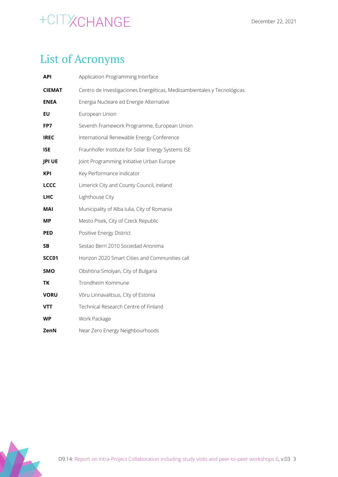### <span id="page-3-0"></span>List of Acronyms

| <b>API</b>    | Application Programming Interface                                      |
|---------------|------------------------------------------------------------------------|
| <b>CIEMAT</b> | Centro de Investigaciones Energéticas, Medioambientales y Tecnológicas |
| <b>ENEA</b>   | Energia Nucleare ed Energie Alternative                                |
| EU            | European Union                                                         |
| FP7           | Seventh Framework Programme, European Union                            |
| <b>IREC</b>   | International Renewable Energy Conference                              |
| <b>ISE</b>    | Fraunhofer Institute for Solar Energy Systems ISE                      |
| <b>JPI UE</b> | Joint Programming Initiative Urban Europe                              |
| KPI           | Key Performance Indicator                                              |
| <b>LCCC</b>   | Limerick City and County Council, Ireland                              |
| <b>LHC</b>    | Lighthouse City                                                        |
| MAI           | Municipality of Alba Iulia, City of Romania                            |
| МP            | Mesto Pisek, City of Czeck Republic                                    |
| <b>PED</b>    | Positive Energy District                                               |
| <b>SB</b>     | Sestao Berri 2010 Sociedad Anonima                                     |
| <b>SCC01</b>  | Horizon 2020 Smart Cities and Communities call                         |
| <b>SMO</b>    | Obshtina Smolyan, City of Bulgaria                                     |
| <b>TK</b>     | Trondheim Kommune                                                      |
| <b>VORU</b>   | Võru Linnavalitsus, City of Estonia                                    |
| VTT           | Technical Research Centre of Finland                                   |
| WP            | Work Package                                                           |
| ZenN          | Near Zero Energy Neighbourhoods                                        |

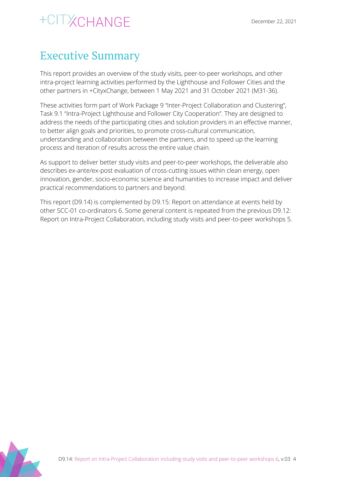### <span id="page-4-0"></span>Executive Summary

This report provides an overview of the study visits, peer-to-peer workshops, and other intra-project learning activities performed by the Lighthouse and Follower Cities and the other partners in +CityxChange, between 1 May 2021 and 31 October 2021 (M31-36).

These activities form part of Work Package 9 "Inter-Project Collaboration and Clustering", Task 9.1 "Intra-Project Lighthouse and Follower City Cooperation". They are designed to address the needs of the participating cities and solution providers in an effective manner, to better align goals and priorities, to promote cross-cultural communication, understanding and collaboration between the partners, and to speed up the learning process and iteration of results across the entire value chain.

As support to deliver better study visits and peer-to-peer workshops, the deliverable also describes ex-ante/ex-post evaluation of cross-cutting issues within clean energy, open innovation, gender, socio-economic science and humanities to increase impact and deliver practical recommendations to partners and beyond.

This report (D9.14) is complemented by D9.15: Report on attendance at events held by other SCC-01 co-ordinators 6. Some general content is repeated from the previous D9.12: Report on Intra-Project Collaboration, including study visits and peer-to-peer workshops 5.

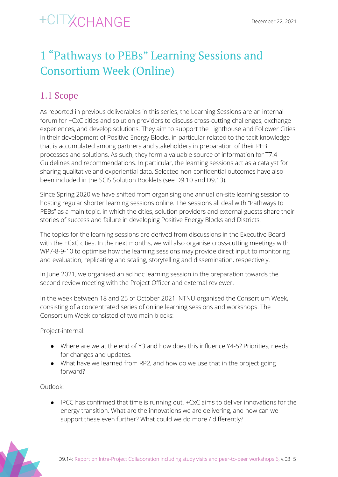## <span id="page-5-0"></span>1 "Pathways to PEBs" Learning Sessions and Consortium Week (Online)

### <span id="page-5-1"></span>1.1 Scope

As reported in previous deliverables in this series, the Learning Sessions are an internal forum for +CxC cities and solution providers to discuss cross-cutting challenges, exchange experiences, and develop solutions. They aim to support the Lighthouse and Follower Cities in their development of Positive Energy Blocks, in particular related to the tacit knowledge that is accumulated among partners and stakeholders in preparation of their PEB processes and solutions. As such, they form a valuable source of information for T7.4 Guidelines and recommendations. In particular, the learning sessions act as a catalyst for sharing qualitative and experiential data. Selected non-confidential outcomes have also been included in the SCIS Solution Booklets (see D9.10 and D9.13).

Since Spring 2020 we have shifted from organising one annual on-site learning session to hosting regular shorter learning sessions online. The sessions all deal with "Pathways to PEBs" as a main topic, in which the cities, solution providers and external guests share their stories of success and failure in developing Positive Energy Blocks and Districts.

The topics for the learning sessions are derived from discussions in the Executive Board with the +CxC cities. In the next months, we will also organise cross-cutting meetings with WP7-8-9-10 to optimise how the learning sessions may provide direct input to monitoring and evaluation, replicating and scaling, storytelling and dissemination, respectively.

In June 2021, we organised an ad hoc learning session in the preparation towards the second review meeting with the Project Officer and external reviewer.

In the week between 18 and 25 of October 2021, NTNU organised the Consortium Week, consisting of a concentrated series of online learning sessions and workshops. The Consortium Week consisted of two main blocks:

Project-internal:

- Where are we at the end of Y3 and how does this influence Y4-5? Priorities, needs for changes and updates.
- What have we learned from RP2, and how do we use that in the project going forward?

Outlook:

● IPCC has confirmed that time is running out. +CxC aims to deliver innovations for the energy transition. What are the innovations we are delivering, and how can we support these even further? What could we do more / differently?

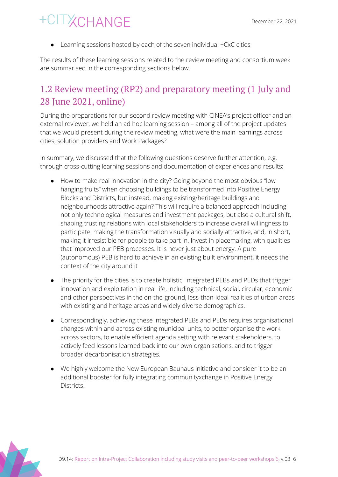● Learning sessions hosted by each of the seven individual +CxC cities

The results of these learning sessions related to the review meeting and consortium week are summarised in the corresponding sections below.

### <span id="page-6-0"></span>1.2 Review meeting (RP2) and preparatory meeting (1 July and 28 June 2021, online)

During the preparations for our second review meeting with CINEA's project officer and an external reviewer, we held an ad hoc learning session – among all of the project updates that we would present during the review meeting, what were the main learnings across cities, solution providers and Work Packages?

In summary, we discussed that the following questions deserve further attention, e.g. through cross-cutting learning sessions and documentation of experiences and results:

- How to make real innovation in the city? Going beyond the most obvious "low hanging fruits" when choosing buildings to be transformed into Positive Energy Blocks and Districts, but instead, making existing/heritage buildings and neighbourhoods attractive again? This will require a balanced approach including not only technological measures and investment packages, but also a cultural shift, shaping trusting relations with local stakeholders to increase overall willingness to participate, making the transformation visually and socially attractive, and, in short, making it irresistible for people to take part in. Invest in placemaking, with qualities that improved our PEB processes. It is never just about energy. A pure (autonomous) PEB is hard to achieve in an existing built environment, it needs the context of the city around it
- The priority for the cities is to create holistic, integrated PEBs and PEDs that trigger innovation and exploitation in real life, including technical, social, circular, economic and other perspectives in the on-the-ground, less-than-ideal realities of urban areas with existing and heritage areas and widely diverse demographics.
- Correspondingly, achieving these integrated PEBs and PEDs requires organisational changes within and across existing municipal units, to better organise the work across sectors, to enable efficient agenda setting with relevant stakeholders, to actively feed lessons learned back into our own organisations, and to trigger broader decarbonisation strategies.
- We highly welcome the New European Bauhaus initiative and consider it to be an additional booster for fully integrating communityxchange in Positive Energy Districts.

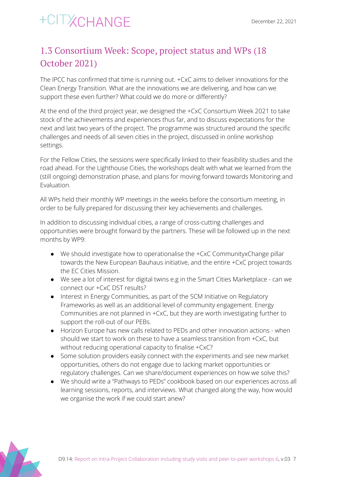### <span id="page-7-0"></span>1.3 Consortium Week: Scope, project status and WPs (18 October 2021)

The IPCC has confirmed that time is running out. +CxC aims to deliver innovations for the Clean Energy Transition. What are the innovations we are delivering, and how can we support these even further? What could we do more or differently?

At the end of the third project year, we designed the +CxC Consortium Week 2021 to take stock of the achievements and experiences thus far, and to discuss expectations for the next and last two years of the project. The programme was structured around the specific challenges and needs of all seven cities in the project, discussed in online workshop settings.

For the Fellow Cities, the sessions were specifically linked to their feasibility studies and the road ahead. For the Lighthouse Cities, the workshops dealt with what we learned from the (still ongoing) demonstration phase, and plans for moving forward towards Monitoring and Evaluation.

All WPs held their monthly WP meetings in the weeks before the consortium meeting, in order to be fully prepared for discussing their key achievements and challenges.

In addition to discussing individual cities, a range of cross-cutting challenges and opportunities were brought forward by the partners. These will be followed up in the next months by WP9:

- $\bullet$  We should investigate how to operationalise the  $+CXC$  CommunityxChange pillar towards the New European Bauhaus initiative, and the entire +CxC project towards the EC Cities Mission.
- We see a lot of interest for digital twins e.g in the Smart Cities Marketplace can we connect our +CxC DST results?
- Interest in Energy Communities, as part of the SCM Initiative on Regulatory Frameworks as well as an additional level of community engagement. Energy Communities are not planned in +CxC, but they are worth investigating further to support the roll-out of our PEBs.
- Horizon Europe has new calls related to PEDs and other innovation actions when should we start to work on these to have a seamless transition from +CxC, but without reducing operational capacity to finalise +CxC?
- Some solution providers easily connect with the experiments and see new market opportunities, others do not engage due to lacking market opportunities or regulatory challenges. Can we share/document experiences on how we solve this?
- We should write a "Pathways to PEDs" cookbook based on our experiences across all learning sessions, reports, and interviews. What changed along the way, how would we organise the work if we could start anew?

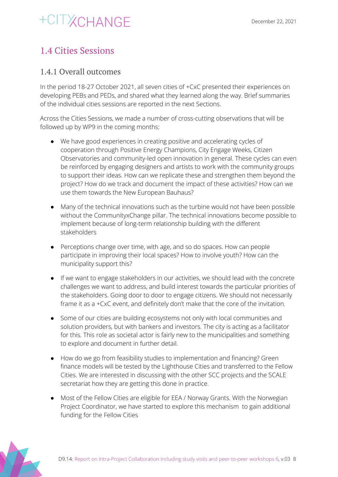### <span id="page-8-0"></span>1.4 Cities Sessions

#### <span id="page-8-1"></span>1.4.1 Overall outcomes

In the period 18-27 October 2021, all seven cities of +CxC presented their experiences on developing PEBs and PEDs, and shared what they learned along the way. Brief summaries of the individual cities sessions are reported in the next Sections.

Across the Cities Sessions, we made a number of cross-cutting observations that will be followed up by WP9 in the coming months:

- We have good experiences in creating positive and accelerating cycles of cooperation through Positive Energy Champions, City Engage Weeks, Citizen Observatories and community-led open innovation in general. These cycles can even be reinforced by engaging designers and artists to work with the community groups to support their ideas. How can we replicate these and strengthen them beyond the project? How do we track and document the impact of these activities? How can we use them towards the New European Bauhaus?
- Many of the technical innovations such as the turbine would not have been possible without the CommunityxChange pillar. The technical innovations become possible to implement because of long-term relationship building with the different stakeholders
- Perceptions change over time, with age, and so do spaces. How can people participate in improving their local spaces? How to involve youth? How can the municipality support this?
- If we want to engage stakeholders in our activities, we should lead with the concrete challenges we want to address, and build interest towards the particular priorities of the stakeholders. Going door to door to engage citizens. We should not necessarily frame it as a +CxC event, and definitely don't make that the core of the invitation.
- Some of our cities are building ecosystems not only with local communities and solution providers, but with bankers and investors. The city is acting as a facilitator for this. This role as societal actor is fairly new to the municipalities and something to explore and document in further detail.
- How do we go from feasibility studies to implementation and financing? Green finance models will be tested by the Lighthouse Cities and transferred to the Fellow Cities. We are interested in discussing with the other SCC projects and the SCALE secretariat how they are getting this done in practice.
- Most of the Fellow Cities are eligible for EEA / Norway Grants. With the Norwegian Project Coordinator, we have started to explore this mechanism to gain additional funding for the Fellow Cities

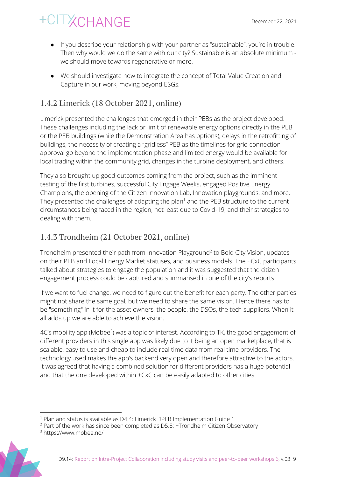- If you describe your relationship with your partner as "sustainable", you're in trouble. Then why would we do the same with our city? Sustainable is an absolute minimum we should move towards regenerative or more.
- We should investigate how to integrate the concept of Total Value Creation and Capture in our work, moving beyond ESGs.

#### <span id="page-9-0"></span>1.4.2 Limerick (18 October 2021, online)

Limerick presented the challenges that emerged in their PEBs as the project developed. These challenges including the lack or limit of renewable energy options directly in the PEB or the PEB buildings (while the Demonstration Area has options), delays in the retrofitting of buildings, the necessity of creating a "gridless" PEB as the timelines for grid connection approval go beyond the implementation phase and limited energy would be available for local trading within the community grid, changes in the turbine deployment, and others.

They also brought up good outcomes coming from the project, such as the imminent testing of the first turbines, successful City Engage Weeks, engaged Positive Energy Champions, the opening of the Citizen Innovation Lab, Innovation playgrounds, and more. They presented the challenges of adapting the plan $1$  and the PEB structure to the current circumstances being faced in the region, not least due to Covid-19, and their strategies to dealing with them.

#### <span id="page-9-1"></span>1.4.3 Trondheim (21 October 2021, online)

Trondheim presented their path from Innovation Playground<sup>2</sup> to Bold City Vision, updates on their PEB and Local Energy Market statuses, and business models. The +CxC participants talked about strategies to engage the population and it was suggested that the citizen engagement process could be captured and summarised in one of the city's reports.

If we want to fuel change, we need to figure out the benefit for each party. The other parties might not share the same goal, but we need to share the same vision. Hence there has to be "something" in it for the asset owners, the people, the DSOs, the tech suppliers. When it all adds up we are able to achieve the vision.

4C's mobility app (Mobee<sup>3</sup>) was a topic of interest. According to TK, the good engagement of different providers in this single app was likely due to it being an open marketplace, that is scalable, easy to use and cheap to include real time data from real time providers. The technology used makes the app's backend very open and therefore attractive to the actors. It was agreed that having a combined solution for different providers has a huge potential and that the one developed within +CxC can be easily adapted to other cities.

<sup>3</sup> https://www.mobee.no/



<sup>&</sup>lt;sup>1</sup> Plan and status is available as D4.4: Limerick DPEB Implementation Guide 1

<sup>&</sup>lt;sup>2</sup> Part of the work has since been completed as D5.8: +Trondheim Citizen Observatory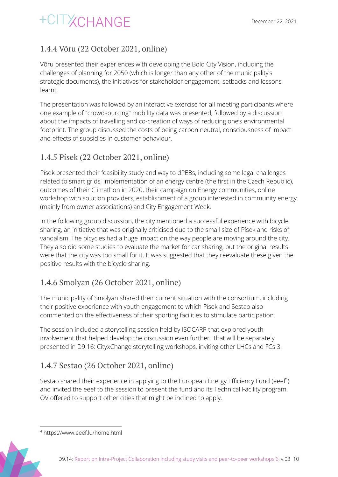### <span id="page-10-0"></span>1.4.4 Võru (22 October 2021, online)

Võru presented their experiences with developing the Bold City Vision, including the challenges of planning for 2050 (which is longer than any other of the municipality's strategic documents), the initiatives for stakeholder engagement, setbacks and lessons learnt.

The presentation was followed by an interactive exercise for all meeting participants where one example of "crowdsourcing" mobility data was presented, followed by a discussion about the impacts of travelling and co-creation of ways of reducing one's environmental footprint. The group discussed the costs of being carbon neutral, consciousness of impact and effects of subsidies in customer behaviour.

#### <span id="page-10-1"></span>1.4.5 Písek (22 October 2021, online)

Písek presented their feasibility study and way to dPEBs, including some legal challenges related to smart grids, implementation of an energy centre (the first in the Czech Republic), outcomes of their Climathon in 2020, their campaign on Energy communities, online workshop with solution providers, establishment of a group interested in community energy (mainly from owner associations) and City Engagement Week.

In the following group discussion, the city mentioned a successful experience with bicycle sharing, an initiative that was originally criticised due to the small size of Písek and risks of vandalism. The bicycles had a huge impact on the way people are moving around the city. They also did some studies to evaluate the market for car sharing, but the original results were that the city was too small for it. It was suggested that they reevaluate these given the positive results with the bicycle sharing.

#### <span id="page-10-2"></span>1.4.6 Smolyan (26 October 2021, online)

The municipality of Smolyan shared their current situation with the consortium, including their positive experience with youth engagement to which Písek and Sestao also commented on the effectiveness of their sporting facilities to stimulate participation.

The session included a storytelling session held by ISOCARP that explored youth involvement that helped develop the discussion even further. That will be separately presented in D9.16: CityxChange storytelling workshops, inviting other LHCs and FCs 3.

#### <span id="page-10-3"></span>1.4.7 Sestao (26 October 2021, online)

Sestao shared their experience in applying to the European Energy Efficiency Fund (eeef<sup>4</sup>) and invited the eeef to the session to present the fund and its Technical Facility program. OV offered to support other cities that might be inclined to apply.

<sup>4</sup> https://www.eeef.lu/home.html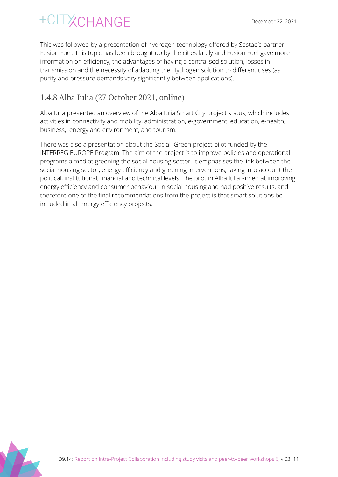This was followed by a presentation of hydrogen technology offered by Sestao's partner Fusion Fuel. This topic has been brought up by the cities lately and Fusion Fuel gave more information on efficiency, the advantages of having a centralised solution, losses in transmission and the necessity of adapting the Hydrogen solution to different uses (as purity and pressure demands vary significantly between applications).

#### <span id="page-11-0"></span>1.4.8 Alba Iulia (27 October 2021, online)

Alba Iulia presented an overview of the Alba Iulia Smart City project status, which includes activities in connectivity and mobility, administration, e-government, education, e-health, business, energy and environment, and tourism.

There was also a presentation about the Social Green project pilot funded by the INTERREG EUROPE Program. The aim of the project is to improve policies and operational programs aimed at greening the social housing sector. It emphasises the link between the social housing sector, energy efficiency and greening interventions, taking into account the political, institutional, financial and technical levels. The pilot in Alba Iulia aimed at improving energy efficiency and consumer behaviour in social housing and had positive results, and therefore one of the final recommendations from the project is that smart solutions be included in all energy efficiency projects.

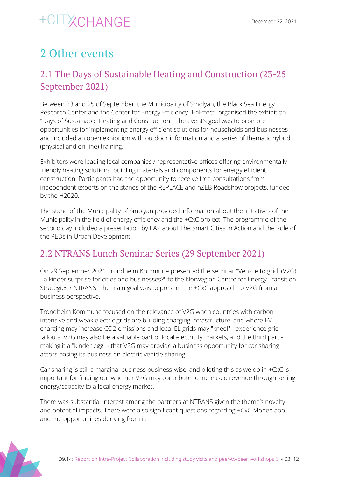### <span id="page-12-0"></span>2 Other events

### <span id="page-12-1"></span>2.1 The Days of Sustainable Heating and Construction (23-25 September 2021)

Between 23 and 25 of September, the Municipality of Smolyan, the Black Sea Energy Research Center and the Center for Energy Efficiency "EnEffect" organised the exhibition "Days of Sustainable Heating and Construction". The event's goal was to promote opportunities for implementing energy efficient solutions for households and businesses and included an open exhibition with outdoor information and a series of thematic hybrid (physical and on-line) training.

Exhibitors were leading local companies / representative offices offering environmentally friendly heating solutions, building materials and components for energy efficient construction. Participants had the opportunity to receive free consultations from independent experts on the stands of the REPLACE and nZEB Roadshow projects, funded by the H2020.

The stand of the Municipality of Smolyan provided information about the initiatives of the Municipality in the field of energy efficiency and the +CxC project. The programme of the second day included a presentation by EAP about The Smart Cities in Action and the Role of the PEDs in Urban Development.

### <span id="page-12-2"></span>2.2 NTRANS Lunch Seminar Series (29 September 2021)

On 29 September 2021 Trondheim Kommune presented the seminar "Vehicle to grid (V2G) - a kinder surprise for cities and businesses?" to the Norwegian Centre for Energy Transition Strategies / NTRANS. The main goal was to present the +CxC approach to V2G from a business perspective.

Trondheim Kommune focused on the relevance of V2G when countries with carbon intensive and weak electric grids are building charging infrastructure, and where EV charging may increase CO2 emissions and local EL grids may "kneel" - experience grid fallouts. V2G may also be a valuable part of local electricity markets, and the third part making it a "kinder egg" - that V2G may provide a business opportunity for car sharing actors basing its business on electric vehicle sharing.

Car sharing is still a marginal business business-wise, and piloting this as we do in +CxC is important for finding out whether V2G may contribute to increased revenue through selling energy/capacity to a local energy market.

There was substantial interest among the partners at NTRANS given the theme's novelty and potential impacts. There were also significant questions regarding +CxC Mobee app and the opportunities deriving from it.

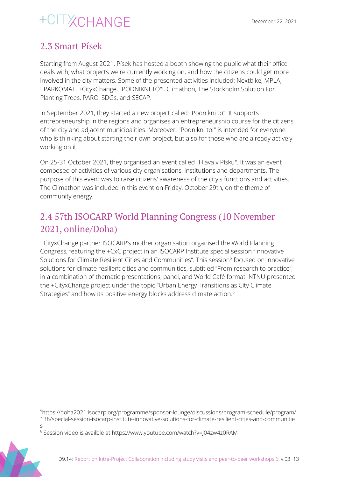### <span id="page-13-0"></span>2.3 Smart Písek

Starting from August 2021, Písek has hosted a booth showing the public what their office deals with, what projects we're currently working on, and how the citizens could get more involved in the city matters. Some of the presented activities included: Nextbike, MPLA, EPARKOMAT, +CityxChange, "PODNIKNI TO"!, Climathon, The Stockholm Solution For Planting Trees, PARO, SDGs, and SECAP.

In September 2021, they started a new project called "Podnikni to"! It supports entrepreneurship in the regions and organises an entrepreneurship course for the citizens of the city and adjacent municipalities. Moreover, "Podnikni to!" is intended for everyone who is thinking about starting their own project, but also for those who are already actively working on it.

On 25-31 October 2021, they organised an event called "Hlava v Písku". It was an event composed of activities of various city organisations, institutions and departments. The purpose of this event was to raise citizens' awareness of the city's functions and activities. The Climathon was included in this event on Friday, October 29th, on the theme of community energy.

### <span id="page-13-1"></span>2.4 57th ISOCARP World Planning Congress (10 November 2021, online/Doha)

+CityxChange partner ISOCARP's mother organisation organised the World Planning Congress, featuring the +CxC project in an ISOCARP Institute special session "Innovative Solutions for Climate Resilient Cities and Communities". This session<sup>5</sup> focused on innovative solutions for climate resilient cities and communities, subtitled "From research to practice", in a combination of thematic presentations, panel, and World Café format. NTNU presented the +CityxChange project under the topic "Urban Energy Transitions as City Climate Strategies" and how its positive energy blocks address climate action. 6

<sup>5</sup>https://doha2021.isocarp.org/programme/sponsor-lounge/discussions/program-schedule/program/ 138/special-session-isocarp-institute-innovative-solutions-for-climate-resilient-cities-and-communitie s

<sup>6</sup> Session video is availble at https://www.youtube.com/watch?v=J04zw4z0RAM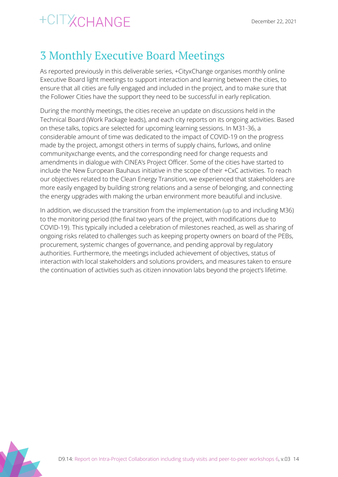## <span id="page-14-0"></span>3 Monthly Executive Board Meetings

As reported previously in this deliverable series, +CityxChange organises monthly online Executive Board light meetings to support interaction and learning between the cities, to ensure that all cities are fully engaged and included in the project, and to make sure that the Follower Cities have the support they need to be successful in early replication.

During the monthly meetings, the cities receive an update on discussions held in the Technical Board (Work Package leads), and each city reports on its ongoing activities. Based on these talks, topics are selected for upcoming learning sessions. In M31-36, a considerable amount of time was dedicated to the impact of COVID-19 on the progress made by the project, amongst others in terms of supply chains, furlows, and online communityxchange events, and the corresponding need for change requests and amendments in dialogue with CINEA's Project Officer. Some of the cities have started to include the New European Bauhaus initiative in the scope of their +CxC activities. To reach our objectives related to the Clean Energy Transition, we experienced that stakeholders are more easily engaged by building strong relations and a sense of belonging, and connecting the energy upgrades with making the urban environment more beautiful and inclusive.

In addition, we discussed the transition from the implementation (up to and including M36) to the monitoring period (the final two years of the project, with modifications due to COVID-19). This typically included a celebration of milestones reached, as well as sharing of ongoing risks related to challenges such as keeping property owners on board of the PEBs, procurement, systemic changes of governance, and pending approval by regulatory authorities. Furthermore, the meetings included achievement of objectives, status of interaction with local stakeholders and solutions providers, and measures taken to ensure the continuation of activities such as citizen innovation labs beyond the project's lifetime.